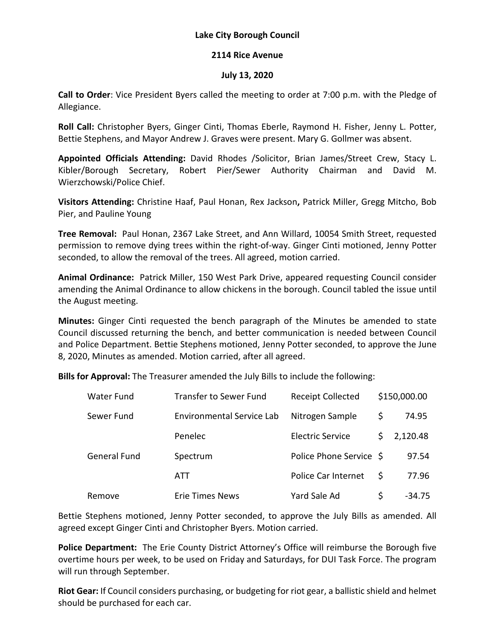## **Lake City Borough Council**

## **2114 Rice Avenue**

## **July 13, 2020**

**Call to Order**: Vice President Byers called the meeting to order at 7:00 p.m. with the Pledge of Allegiance.

**Roll Call:** Christopher Byers, Ginger Cinti, Thomas Eberle, Raymond H. Fisher, Jenny L. Potter, Bettie Stephens, and Mayor Andrew J. Graves were present. Mary G. Gollmer was absent.

**Appointed Officials Attending:** David Rhodes /Solicitor, Brian James/Street Crew, Stacy L. Kibler/Borough Secretary, Robert Pier/Sewer Authority Chairman and David M. Wierzchowski/Police Chief.

**Visitors Attending:** Christine Haaf, Paul Honan, Rex Jackson**,** Patrick Miller, Gregg Mitcho, Bob Pier, and Pauline Young

**Tree Removal:** Paul Honan, 2367 Lake Street, and Ann Willard, 10054 Smith Street, requested permission to remove dying trees within the right-of-way. Ginger Cinti motioned, Jenny Potter seconded, to allow the removal of the trees. All agreed, motion carried.

**Animal Ordinance:** Patrick Miller, 150 West Park Drive, appeared requesting Council consider amending the Animal Ordinance to allow chickens in the borough. Council tabled the issue until the August meeting.

**Minutes:** Ginger Cinti requested the bench paragraph of the Minutes be amended to state Council discussed returning the bench, and better communication is needed between Council and Police Department. Bettie Stephens motioned, Jenny Potter seconded, to approve the June 8, 2020, Minutes as amended. Motion carried, after all agreed.

**Bills for Approval:** The Treasurer amended the July Bills to include the following:

| <b>Water Fund</b>   | Transfer to Sewer Fund           | <b>Receipt Collected</b> |    | \$150,000.00 |
|---------------------|----------------------------------|--------------------------|----|--------------|
| Sewer Fund          | <b>Environmental Service Lab</b> | Nitrogen Sample          | \$ | 74.95        |
|                     | Penelec                          | <b>Electric Service</b>  | S. | 2,120.48     |
| <b>General Fund</b> | Spectrum                         | Police Phone Service \$  |    | 97.54        |
|                     | ATT                              | Police Car Internet      | S  | 77.96        |
| Remove              | <b>Erie Times News</b>           | Yard Sale Ad             | S  | $-34.75$     |

Bettie Stephens motioned, Jenny Potter seconded, to approve the July Bills as amended. All agreed except Ginger Cinti and Christopher Byers. Motion carried.

**Police Department:** The Erie County District Attorney's Office will reimburse the Borough five overtime hours per week, to be used on Friday and Saturdays, for DUI Task Force. The program will run through September.

**Riot Gear:** If Council considers purchasing, or budgeting for riot gear, a ballistic shield and helmet should be purchased for each car.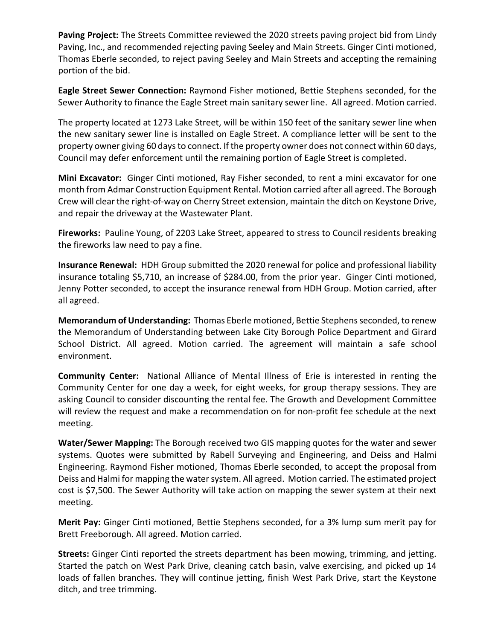**Paving Project:** The Streets Committee reviewed the 2020 streets paving project bid from Lindy Paving, Inc., and recommended rejecting paving Seeley and Main Streets. Ginger Cinti motioned, Thomas Eberle seconded, to reject paving Seeley and Main Streets and accepting the remaining portion of the bid.

**Eagle Street Sewer Connection:** Raymond Fisher motioned, Bettie Stephens seconded, for the Sewer Authority to finance the Eagle Street main sanitary sewer line. All agreed. Motion carried.

The property located at 1273 Lake Street, will be within 150 feet of the sanitary sewer line when the new sanitary sewer line is installed on Eagle Street. A compliance letter will be sent to the property owner giving 60 days to connect. If the property owner does not connect within 60 days, Council may defer enforcement until the remaining portion of Eagle Street is completed.

**Mini Excavator:** Ginger Cinti motioned, Ray Fisher seconded, to rent a mini excavator for one month from Admar Construction Equipment Rental. Motion carried after all agreed. The Borough Crew will clear the right-of-way on Cherry Street extension, maintain the ditch on Keystone Drive, and repair the driveway at the Wastewater Plant.

**Fireworks:** Pauline Young, of 2203 Lake Street, appeared to stress to Council residents breaking the fireworks law need to pay a fine.

**Insurance Renewal:** HDH Group submitted the 2020 renewal for police and professional liability insurance totaling \$5,710, an increase of \$284.00, from the prior year. Ginger Cinti motioned, Jenny Potter seconded, to accept the insurance renewal from HDH Group. Motion carried, after all agreed.

**Memorandum of Understanding:** Thomas Eberle motioned, Bettie Stephens seconded, to renew the Memorandum of Understanding between Lake City Borough Police Department and Girard School District. All agreed. Motion carried. The agreement will maintain a safe school environment.

**Community Center:** National Alliance of Mental Illness of Erie is interested in renting the Community Center for one day a week, for eight weeks, for group therapy sessions. They are asking Council to consider discounting the rental fee. The Growth and Development Committee will review the request and make a recommendation on for non-profit fee schedule at the next meeting.

**Water/Sewer Mapping:** The Borough received two GIS mapping quotes for the water and sewer systems. Quotes were submitted by Rabell Surveying and Engineering, and Deiss and Halmi Engineering. Raymond Fisher motioned, Thomas Eberle seconded, to accept the proposal from Deiss and Halmi for mapping the water system. All agreed. Motion carried. The estimated project cost is \$7,500. The Sewer Authority will take action on mapping the sewer system at their next meeting.

**Merit Pay:** Ginger Cinti motioned, Bettie Stephens seconded, for a 3% lump sum merit pay for Brett Freeborough. All agreed. Motion carried.

**Streets:** Ginger Cinti reported the streets department has been mowing, trimming, and jetting. Started the patch on West Park Drive, cleaning catch basin, valve exercising, and picked up 14 loads of fallen branches. They will continue jetting, finish West Park Drive, start the Keystone ditch, and tree trimming.